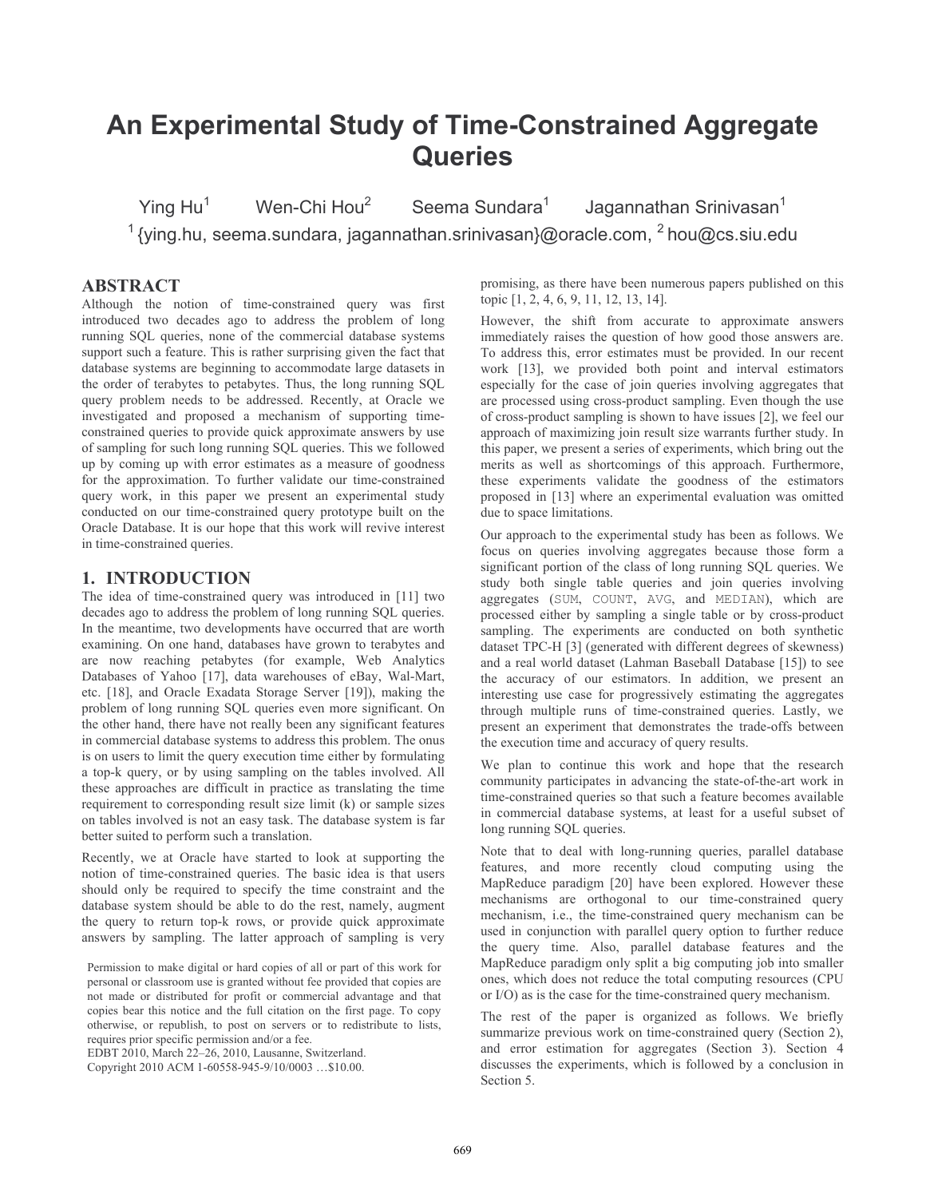# An Experimental Study of Time-Constrained Aggregate **Queries**

Seema Sundara<sup>1</sup> Ying  $Hu^1$ Wen-Chi Hou<sup>2</sup> Jagannathan Srinivasan<sup>1</sup>  $1$  (ving hu, seema sundara, jagannathan srinivasan}@oracle.com,  $2$  hou@cs siu edu

# **ABSTRACT**

Although the notion of time-constrained query was first introduced two decades ago to address the problem of long running SOL queries, none of the commercial database systems support such a feature. This is rather surprising given the fact that database systems are beginning to accommodate large datasets in the order of terabytes to petabytes. Thus, the long running SQL query problem needs to be addressed. Recently, at Oracle we investigated and proposed a mechanism of supporting timeconstrained queries to provide quick approximate answers by use of sampling for such long running SQL queries. This we followed up by coming up with error estimates as a measure of goodness for the approximation. To further validate our time-constrained query work, in this paper we present an experimental study conducted on our time-constrained query prototype built on the Oracle Database. It is our hope that this work will revive interest in time-constrained queries.

# 1. INTRODUCTION

The idea of time-constrained query was introduced in [11] two decades ago to address the problem of long running SQL queries. In the meantime, two developments have occurred that are worth examining. On one hand, databases have grown to terabytes and are now reaching petabytes (for example, Web Analytics Databases of Yahoo [17], data warehouses of eBay, Wal-Mart, etc. [18], and Oracle Exadata Storage Server [19]), making the problem of long running SQL queries even more significant. On the other hand, there have not really been any significant features in commercial database systems to address this problem. The onus is on users to limit the query execution time either by formulating a top-k query, or by using sampling on the tables involved. All these approaches are difficult in practice as translating the time requirement to corresponding result size limit (k) or sample sizes on tables involved is not an easy task. The database system is far better suited to perform such a translation.

Recently, we at Oracle have started to look at supporting the notion of time-constrained queries. The basic idea is that users should only be required to specify the time constraint and the database system should be able to do the rest, namely, augment the query to return top-k rows, or provide quick approximate answers by sampling. The latter approach of sampling is very

EDBT 2010, March 22-26, 2010, Lausanne, Switzerland.

Copyright 2010 ACM 1-60558-945-9/10/0003 ... \$10.00.

promising, as there have been numerous papers published on this topic [1, 2, 4, 6, 9, 11, 12, 13, 14].

However, the shift from accurate to approximate answers immediately raises the question of how good those answers are. To address this, error estimates must be provided. In our recent work [13], we provided both point and interval estimators especially for the case of join queries involving aggregates that are processed using cross-product sampling. Even though the use of cross-product sampling is shown to have issues [2], we feel our approach of maximizing join result size warrants further study. In this paper, we present a series of experiments, which bring out the merits as well as shortcomings of this approach. Furthermore, these experiments validate the goodness of the estimators proposed in [13] where an experimental evaluation was omitted due to space limitations.

Our approach to the experimental study has been as follows. We focus on queries involving aggregates because those form a significant portion of the class of long running SQL queries. We study both single table queries and join queries involving aggregates (SUM, COUNT, AVG, and MEDIAN), which are processed either by sampling a single table or by cross-product sampling. The experiments are conducted on both synthetic dataset TPC-H [3] (generated with different degrees of skewness) and a real world dataset (Lahman Baseball Database [15]) to see the accuracy of our estimators. In addition, we present an interesting use case for progressively estimating the aggregates through multiple runs of time-constrained queries. Lastly, we present an experiment that demonstrates the trade-offs between the execution time and accuracy of query results.

We plan to continue this work and hope that the research community participates in advancing the state-of-the-art work in time-constrained queries so that such a feature becomes available in commercial database systems, at least for a useful subset of long running SQL queries.

Note that to deal with long-running queries, parallel database features, and more recently cloud computing using the MapReduce paradigm [20] have been explored. However these mechanisms are orthogonal to our time-constrained query mechanism, i.e., the time-constrained query mechanism can be used in conjunction with parallel query option to further reduce the query time. Also, parallel database features and the MapReduce paradigm only split a big computing job into smaller ones, which does not reduce the total computing resources (CPU or I/O) as is the case for the time-constrained query mechanism.

The rest of the paper is organized as follows. We briefly summarize previous work on time-constrained query (Section 2), and error estimation for aggregates (Section 3). Section 4 discusses the experiments, which is followed by a conclusion in Section 5.

Permission to make digital or hard copies of all or part of this work for personal or classroom use is granted without fee provided that copies are not made or distributed for profit or commercial advantage and that copies bear this notice and the full citation on the first page. To copy otherwise, or republish, to post on servers or to redistribute to lists, requires prior specific permission and/or a fee.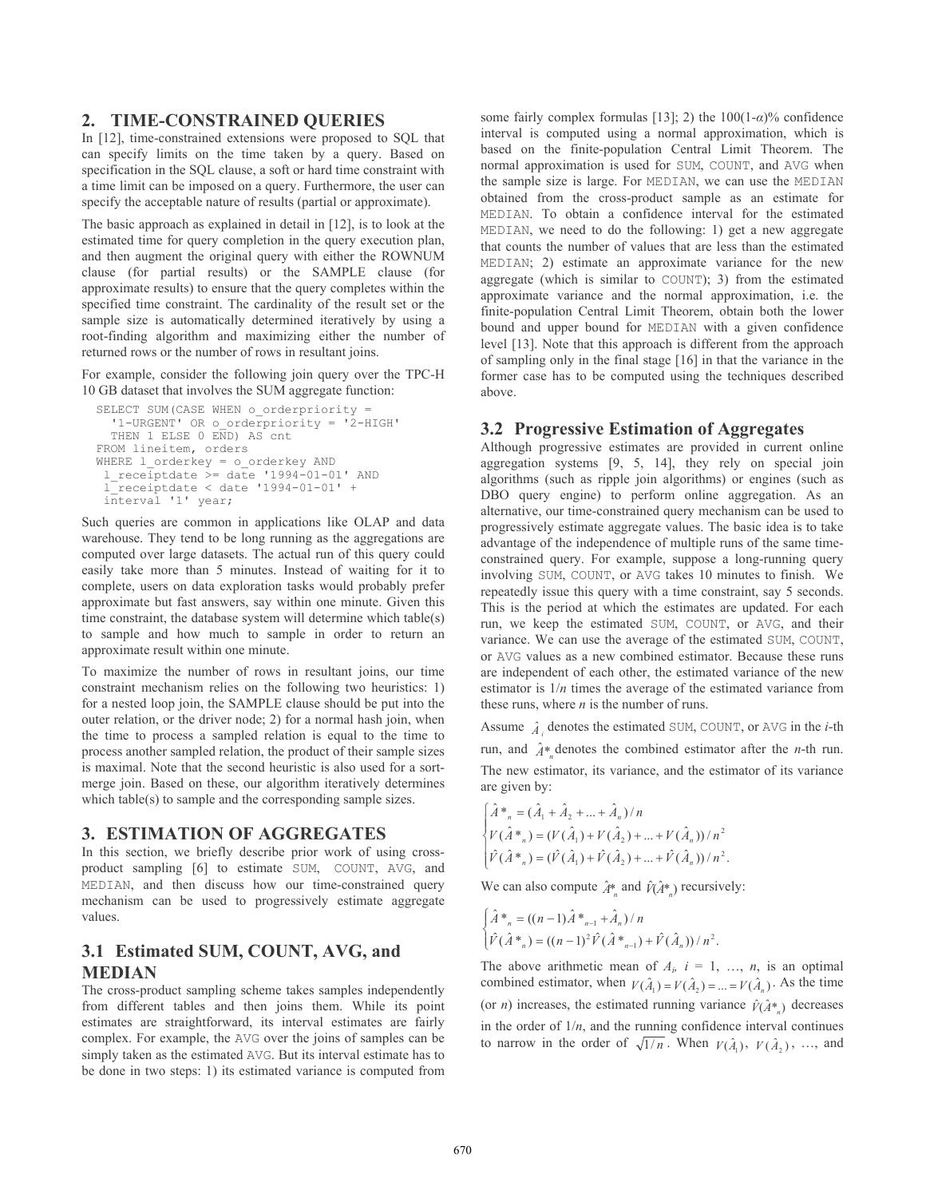# 2. TIME-CONSTRAINED OUERIES

In [12], time-constrained extensions were proposed to SQL that can specify limits on the time taken by a query. Based on specification in the SQL clause, a soft or hard time constraint with a time limit can be imposed on a query. Furthermore, the user can specify the acceptable nature of results (partial or approximate).

The basic approach as explained in detail in  $[12]$ , is to look at the estimated time for query completion in the query execution plan, and then augment the original query with either the ROWNUM clause (for partial results) or the SAMPLE clause (for approximate results) to ensure that the query completes within the specified time constraint. The cardinality of the result set or the sample size is automatically determined iteratively by using a root-finding algorithm and maximizing either the number of returned rows or the number of rows in resultant joins.

For example, consider the following join query over the TPC-H 10 GB dataset that involves the SUM aggregate function:

```
SELECT SUM (CASE WHEN o orderpriority =
  '1-URGENT' OR o orderpriority = '2-HIGH'
  THEN 1 ELSE 0 END) AS cnt
FROM lineitem, orders
WHERE 1 orderkey = o orderkey AND
 1 receiptdate \geq date '1994-01-01' AND
 1^-receiptdate < date '1994-01-01' +
interval '1' year;
```
Such queries are common in applications like OLAP and data warehouse. They tend to be long running as the aggregations are computed over large datasets. The actual run of this query could easily take more than 5 minutes. Instead of waiting for it to complete, users on data exploration tasks would probably prefer approximate but fast answers, say within one minute. Given this time constraint, the database system will determine which table(s) to sample and how much to sample in order to return an approximate result within one minute.

To maximize the number of rows in resultant joins, our time constraint mechanism relies on the following two heuristics: 1) for a nested loop join, the SAMPLE clause should be put into the outer relation, or the driver node; 2) for a normal hash join, when the time to process a sampled relation is equal to the time to process another sampled relation, the product of their sample sizes is maximal. Note that the second heuristic is also used for a sortmerge join. Based on these, our algorithm iteratively determines which table(s) to sample and the corresponding sample sizes.

# **3. ESTIMATION OF AGGREGATES**

In this section, we briefly describe prior work of using crossproduct sampling [6] to estimate SUM, COUNT, AVG, and MEDIAN, and then discuss how our time-constrained query mechanism can be used to progressively estimate aggregate values.

# 3.1 Estimated SUM, COUNT, AVG, and **MEDIAN**

The cross-product sampling scheme takes samples independently from different tables and then joins them. While its point estimates are straightforward, its interval estimates are fairly complex. For example, the AVG over the joins of samples can be simply taken as the estimated AVG. But its interval estimate has to be done in two steps: 1) its estimated variance is computed from

some fairly complex formulas [13]; 2) the  $100(1-\alpha)\%$  confidence interval is computed using a normal approximation, which is based on the finite-population Central Limit Theorem. The normal approximation is used for SUM, COUNT, and AVG when the sample size is large. For MEDIAN, we can use the MEDIAN obtained from the cross-product sample as an estimate for MEDIAN. To obtain a confidence interval for the estimated MEDIAN, we need to do the following: 1) get a new aggregate that counts the number of values that are less than the estimated MEDIAN; 2) estimate an approximate variance for the new aggregate (which is similar to COUNT); 3) from the estimated approximate variance and the normal approximation, *i.e.* the finite-population Central Limit Theorem, obtain both the lower bound and upper bound for MEDIAN with a given confidence level [13]. Note that this approach is different from the approach of sampling only in the final stage [16] in that the variance in the former case has to be computed using the techniques described above.

# 3.2 Progressive Estimation of Aggregates

Although progressive estimates are provided in current online aggregation systems [9, 5, 14], they rely on special join algorithms (such as ripple join algorithms) or engines (such as DBO query engine) to perform online aggregation. As an alternative, our time-constrained query mechanism can be used to progressively estimate aggregate values. The basic idea is to take advantage of the independence of multiple runs of the same timeconstrained query. For example, suppose a long-running query involving SUM, COUNT, or AVG takes 10 minutes to finish. We repeatedly issue this query with a time constraint, say 5 seconds. This is the period at which the estimates are updated. For each run, we keep the estimated SUM, COUNT, or AVG, and their variance. We can use the average of the estimated SUM, COUNT, or AVG values as a new combined estimator. Because these runs are independent of each other, the estimated variance of the new estimator is  $1/n$  times the average of the estimated variance from these runs, where  $n$  is the number of runs.

Assume  $\hat{A}$  denotes the estimated SUM, COUNT, or AVG in the *i*-th run, and  $\hat{A}^*$  denotes the combined estimator after the *n*-th run. The new estimator, its variance, and the estimator of its variance are given by:

$$
\begin{cases}\n\hat{A}^*_{n} = (\hat{A}_1 + \hat{A}_2 + ... + \hat{A}_n)/n \\
V(\hat{A}^*_{n}) = (V(\hat{A}_1) + V(\hat{A}_2) + ... + V(\hat{A}_n))/n^2 \\
\hat{V}(\hat{A}^*_{n}) = (\hat{V}(\hat{A}_1) + \hat{V}(\hat{A}_2) + ... + \hat{V}(\hat{A}_n))/n^2.\n\end{cases}
$$

We can also compute  $\hat{A}^*$  and  $\hat{V}(\hat{A}^*)$  recursively:

$$
\begin{cases}\n\hat{A}^*_{n} = ((n-1)\hat{A}^*_{n-1} + \hat{A}_n)/n \\
\hat{V}(\hat{A}^*)_{n} = ((n-1)^2 \hat{V}(\hat{A}^*)_{n-1}) + \hat{V}(\hat{A}_n)/n^2.\n\end{cases}
$$

The above arithmetic mean of  $A_i$ ,  $i = 1, ..., n$ , is an optimal combined estimator, when  $V(\hat{A}_1) = V(\hat{A}_2) = ... = V(\hat{A}_n)$ . As the time (or *n*) increases, the estimated running variance  $\hat{v}(\hat{A}^*)$  decreases in the order of  $1/n$ , and the running confidence interval continues to narrow in the order of  $\sqrt{1/n}$ . When  $V(\hat{A}_1)$ ,  $V(\hat{A}_2)$ , ..., and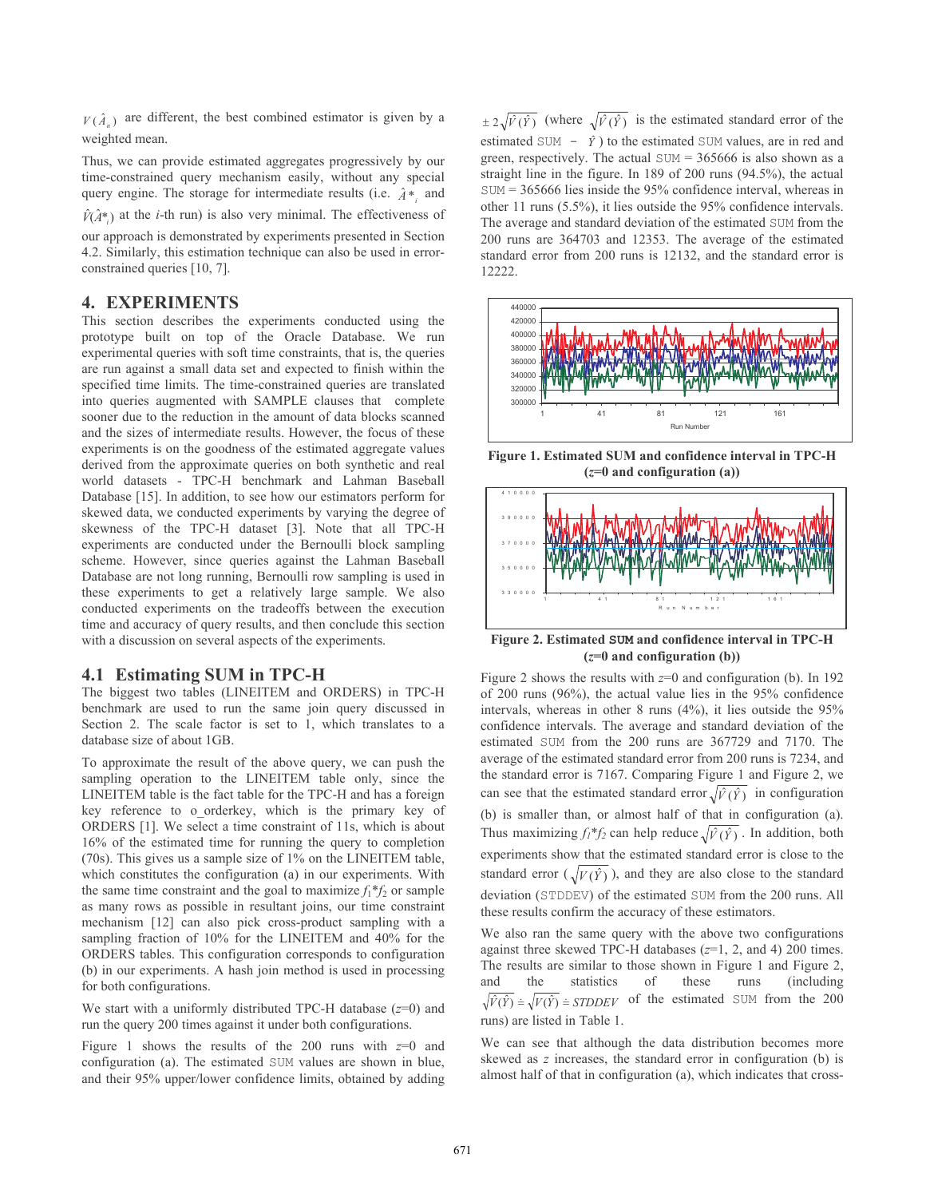$V(\hat{A}_n)$  are different, the best combined estimator is given by a weighted mean.

Thus, we can provide estimated aggregates progressively by our time-constrained query mechanism easily, without any special query engine. The storage for intermediate results (i.e.  $\hat{A}$ \*, and

 $\hat{V}(\hat{A}^*)$  at the *i*-th run) is also very minimal. The effectiveness of

our approach is demonstrated by experiments presented in Section 4.2. Similarly, this estimation technique can also be used in errorconstrained queries [10, 7].

# **4. EXPERIMENTS**

This section describes the experiments conducted using the prototype built on top of the Oracle Database. We run experimental queries with soft time constraints, that is, the queries are run against a small data set and expected to finish within the specified time limits. The time-constrained queries are translated into queries augmented with SAMPLE clauses that complete sooner due to the reduction in the amount of data blocks scanned and the sizes of intermediate results. However, the focus of these experiments is on the goodness of the estimated aggregate values derived from the approximate queries on both synthetic and real world datasets - TPC-H benchmark and Lahman Baseball Database [15]. In addition, to see how our estimators perform for skewed data, we conducted experiments by varying the degree of skewness of the TPC-H dataset [3]. Note that all TPC-H experiments are conducted under the Bernoulli block sampling scheme. However, since queries against the Lahman Baseball Database are not long running, Bernoulli row sampling is used in these experiments to get a relatively large sample. We also conducted experiments on the tradeoffs between the execution time and accuracy of query results, and then conclude this section with a discussion on several aspects of the experiments.

#### 4.1 Estimating SUM in TPC-H

The biggest two tables (LINEITEM and ORDERS) in TPC-H benchmark are used to run the same join query discussed in Section 2. The scale factor is set to 1, which translates to a database size of about 1GB.

To approximate the result of the above query, we can push the sampling operation to the LINEITEM table only, since the LINEITEM table is the fact table for the TPC-H and has a foreign key reference to o orderkey, which is the primary key of ORDERS [1]. We select a time constraint of 11s, which is about 16% of the estimated time for running the query to completion (70s). This gives us a sample size of 1% on the LINEITEM table, which constitutes the configuration (a) in our experiments. With the same time constraint and the goal to maximize  $f_1^*f_2$  or sample as many rows as possible in resultant joins, our time constraint mechanism [12] can also pick cross-product sampling with a sampling fraction of 10% for the LINEITEM and 40% for the ORDERS tables. This configuration corresponds to configuration (b) in our experiments. A hash join method is used in processing for both configurations.

We start with a uniformly distributed TPC-H database  $(z=0)$  and run the query 200 times against it under both configurations.

Figure 1 shows the results of the 200 runs with  $z=0$  and configuration (a). The estimated SUM values are shown in blue, and their 95% upper/lower confidence limits, obtained by adding  $\pm 2\sqrt{\hat{V}(\hat{Y})}$  (where  $\sqrt{\hat{V}(\hat{Y})}$  is the estimated standard error of the estimated SUM -  $\hat{y}$ ) to the estimated SUM values, are in red and green, respectively. The actual  $SUM = 365666$  is also shown as a straight line in the figure. In 189 of 200 runs (94.5%), the actual  $SUM = 365666$  lies inside the 95% confidence interval, whereas in other 11 runs (5.5%), it lies outside the 95% confidence intervals. The average and standard deviation of the estimated SUM from the 200 runs are 364703 and 12353. The average of the estimated standard error from 200 runs is 12132, and the standard error is 12222.



Figure 1. Estimated SUM and confidence interval in TPC-H  $(z=0$  and configuration (a))



Figure 2. Estimated SUM and confidence interval in TPC-H  $(z=0$  and configuration (b))

Figure 2 shows the results with  $z=0$  and configuration (b). In 192 of 200 runs  $(96\%)$ , the actual value lies in the 95% confidence intervals, whereas in other 8 runs  $(4\%)$ , it lies outside the 95% confidence intervals. The average and standard deviation of the estimated SUM from the 200 runs are 367729 and 7170. The average of the estimated standard error from 200 runs is 7234, and the standard error is 7167. Comparing Figure 1 and Figure 2, we can see that the estimated standard error  $\sqrt{\hat{v}(\hat{y})}$  in configuration (b) is smaller than, or almost half of that in configuration (a). Thus maximizing  $f_1^*f_2$  can help reduce  $\sqrt{\hat{r}(\hat{Y})}$ . In addition, both experiments show that the estimated standard error is close to the standard error  $(\sqrt{V(\hat{Y})})$ , and they are also close to the standard deviation (STDDEV) of the estimated SUM from the 200 runs. All these results confirm the accuracy of these estimators.

We also ran the same query with the above two configurations against three skewed TPC-H databases  $(z=1, 2,$  and 4) 200 times. The results are similar to those shown in Figure 1 and Figure 2, and the statistics of these runs (including)  $\sqrt{\hat{V}(\hat{Y})}$  =  $\sqrt{V(\hat{Y})}$  = *STDDEV* of the estimated SUM from the 200 runs) are listed in Table 1

We can see that although the data distribution becomes more skewed as  $z$  increases, the standard error in configuration (b) is almost half of that in configuration (a), which indicates that cross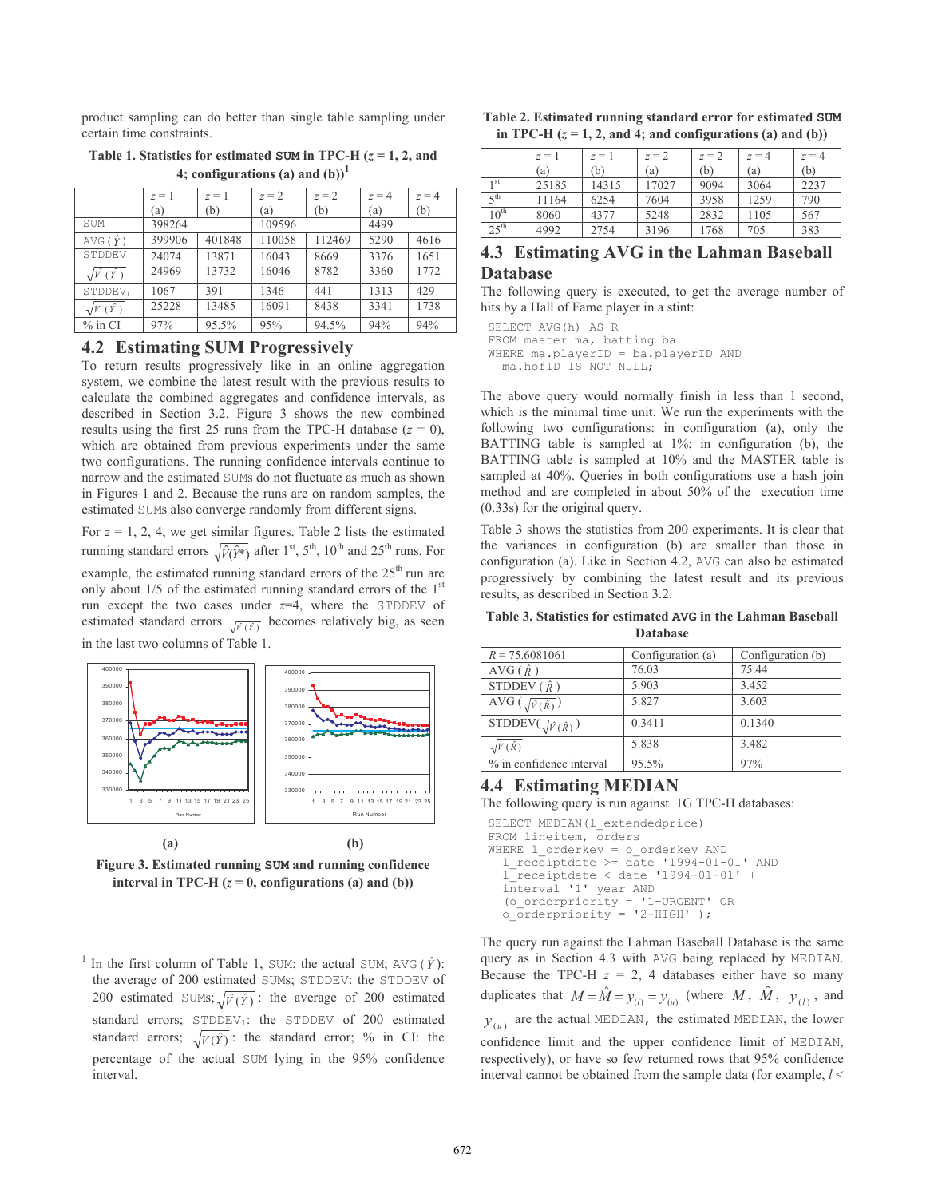product sampling can do better than single table sampling under certain time constraints.

Table 1. Statistics for estimated SUM in TPC-H  $(z = 1, 2,$  and 4; configurations (a) and  $(b)$ )<sup>1</sup>

|                                | $z=1$  | $z = 1$ | $z = 2$ | $z = 2$ | $z = 4$ | $z = 4$ |
|--------------------------------|--------|---------|---------|---------|---------|---------|
|                                | (a)    | (b)     | (a)     | (b)     | (a)     | (b)     |
| SUM                            | 398264 |         | 109596  |         | 4499    |         |
| AVG ( $\hat{Y}$ )              | 399906 | 401848  | 110058  | 112469  | 5290    | 4616    |
| STDDEV                         | 24074  | 13871   | 16043   | 8669    | 3376    | 1651    |
| $\sqrt{\overline{V}(\hat{Y})}$ | 24969  | 13732   | 16046   | 8782    | 3360    | 1772    |
| STDDEV <sub>1</sub>            | 1067   | 391     | 1346    | 441     | 1313    | 429     |
| $\sqrt{V(\overline{Y})}$       | 25228  | 13485   | 16091   | 8438    | 3341    | 1738    |
| $\%$ in CI                     | 97%    | 95.5%   | 95%     | 94.5%   | 94%     | 94%     |

#### **4.2 Estimating SUM Progressively**

To return results progressively like in an online aggregation system, we combine the latest result with the previous results to calculate the combined aggregates and confidence intervals, as described in Section 3.2. Figure 3 shows the new combined results using the first 25 runs from the TPC-H database  $(z = 0)$ , which are obtained from previous experiments under the same two configurations. The running confidence intervals continue to narrow and the estimated SUMs do not fluctuate as much as shown in Figures 1 and 2. Because the runs are on random samples, the estimated SUMs also converge randomly from different signs.

For  $z = 1, 2, 4$ , we get similar figures. Table 2 lists the estimated running standard errors  $\sqrt{\hat{V}(\hat{Y}^*)}$  after 1<sup>st</sup>, 5<sup>th</sup>, 10<sup>th</sup> and 25<sup>th</sup> runs. For example, the estimated running standard errors of the 25<sup>th</sup> run are only about 1/5 of the estimated running standard errors of the 1st run except the two cases under  $z=4$ , where the STDDEV of estimated standard errors  $\sqrt{\hat{r}(x)}$  becomes relatively big, as seen in the last two columns of Table 1.



Figure 3. Estimated running SUM and running confidence interval in TPC-H  $(z = 0$ , configurations (a) and (b))

| III 11 C-11 ( $\zeta$ – 1, 2, and +, and comigurations (a) and (b)) |         |         |         |         |         |         |
|---------------------------------------------------------------------|---------|---------|---------|---------|---------|---------|
|                                                                     | $z = 1$ | $z = 1$ | $z = 2$ | $z = 2$ | $z = 4$ | $z = 4$ |
|                                                                     | (a)     | (b)     | (a)     | (b)     | (a)     | (b)     |
| 1 st                                                                | 25185   | 14315   | 17027   | 9094    | 3064    | 2237    |
| $\zeta$ th                                                          | 11164   | 6254    | 7604    | 3958    | 1259    | 790     |
| $10^{\text{th}}$                                                    | 8060    | 4377    | 5248    | 2832    | 1105    | 567     |

Table 2. Estimated running standard error for estimated SUM

in TDC  $H(z-1, 2)$  and *A* and configurations (a) and (b))

# 4.3 Estimating AVG in the Lahman Baseball **Database**

3196

705

383

1768

The following query is executed, to get the average number of hits by a Hall of Fame player in a stint:

SELECT AVG (h) AS R FROM master ma, batting ba WHERE ma.playerID = ba.playerID AND ma.hofID IS NOT NULL;

2754

 $2.5$ <sup>th</sup>

4992

The above query would normally finish in less than 1 second, which is the minimal time unit. We run the experiments with the following two configurations: in configuration (a), only the BATTING table is sampled at 1%; in configuration (b), the BATTING table is sampled at 10% and the MASTER table is sampled at 40%. Queries in both configurations use a hash join method and are completed in about 50% of the execution time  $(0.33s)$  for the original query.

Table 3 shows the statistics from 200 experiments. It is clear that the variances in configuration (b) are smaller than those in configuration (a). Like in Section 4.2, AVG can also be estimated progressively by combining the latest result and its previous results, as described in Section 3.2.

Table 3. Statistics for estimated AVG in the Lahman Baseball Database

| $R = 75.6081061$                  | Configuration (a) | Configuration (b) |
|-----------------------------------|-------------------|-------------------|
| AVG $(\hat{R})$                   | 76.03             | 75.44             |
| STDDEV $(\hat{R})$                | 5.903             | 3.452             |
| AVG $(\sqrt{\hat{v}(\hat{R})})$   | 5.827             | 3.603             |
| $STDDEV(\sqrt{\hat{V}(\hat{R})})$ | 0.3411            | 0.1340            |
| $\sqrt{V(\hat{R})}$               | 5.838             | 3.482             |
| % in confidence interval          | 95.5%             | 97%               |

#### **4.4 Estimating MEDIAN**

The following query is run against 1G TPC-H databases:

SELECT MEDIAN (1 extendedprice) FROM lineitem, orders WHERE l\_orderkey = o\_orderkey AND  $1$  receiptdate >= date '1994-01-01' AND  $1^-$ receiptdate < date '1994-01-01' + interval '1' year AND (o\_orderpriority = '1-URGENT' OR<br>o orderpriority = '2-HIGH' );

The query run against the Lahman Baseball Database is the same query as in Section 4.3 with AVG being replaced by MEDIAN. Because the TPC-H  $z = 2$ , 4 databases either have so many duplicates that  $M = \hat{M} = y_{(l)} = y_{(u)}$  (where M,  $\hat{M}$ ,  $y_{(l)}$ , and  $y_{(u)}$  are the actual MEDIAN, the estimated MEDIAN, the lower confidence limit and the upper confidence limit of MEDIAN,

respectively), or have so few returned rows that 95% confidence interval cannot be obtained from the sample data (for example,  $l <$ 

In the first column of Table 1, SUM: the actual SUM; AVG ( $\hat{Y}$ ): the average of 200 estimated SUMs; STDDEV: the STDDEV of 200 estimated SUMs;  $\sqrt{\hat{V}(\hat{Y})}$ : the average of 200 estimated standard errors; STDDEV<sub>1</sub>: the STDDEV of 200 estimated standard errors;  $\sqrt{V(\hat{Y})}$ : the standard error; % in CI: the percentage of the actual SUM lying in the 95% confidence interval.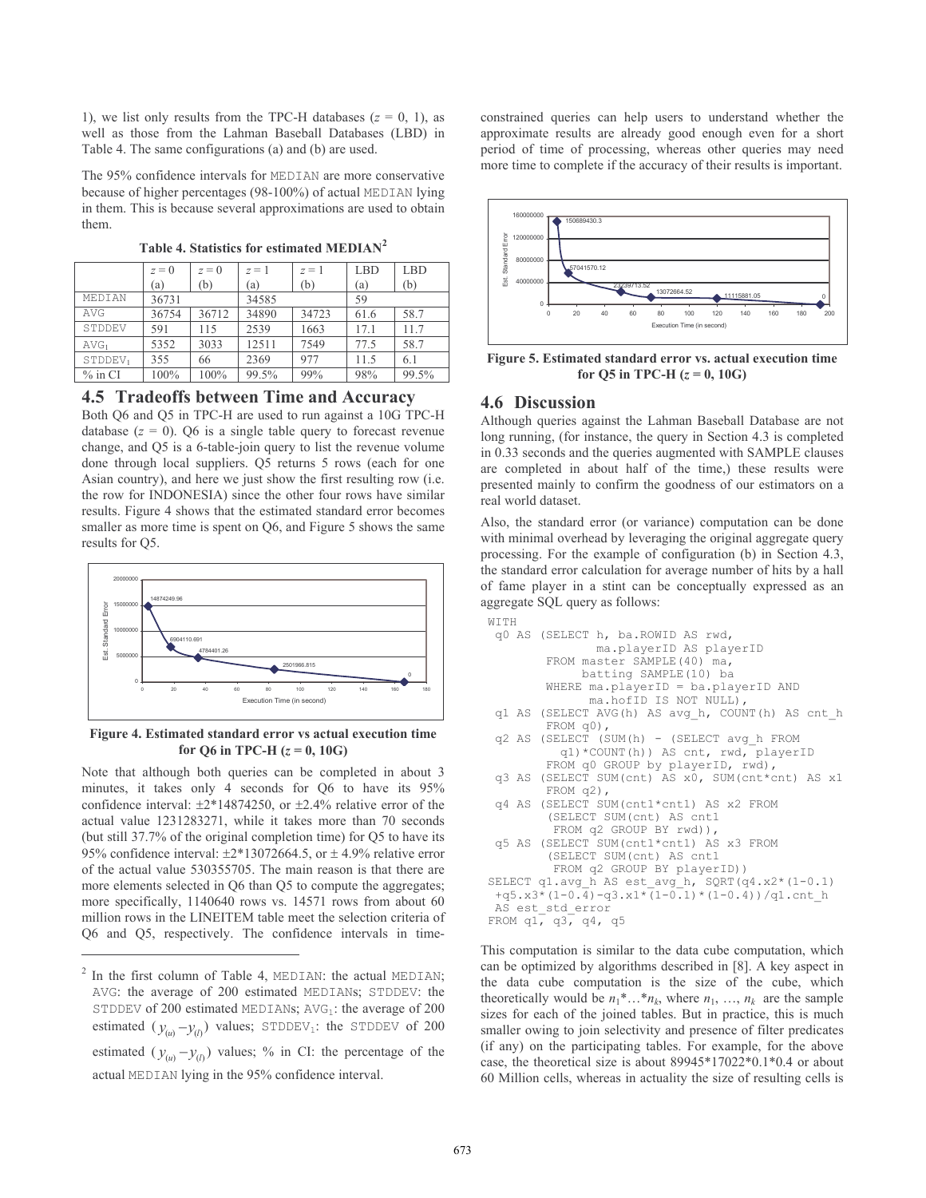1), we list only results from the TPC-H databases  $(z = 0, 1)$ , as well as those from the Lahman Baseball Databases (LBD) in Table 4. The same configurations (a) and (b) are used.

The 95% confidence intervals for MEDIAN are more conservative because of higher percentages (98-100%) of actual MEDIAN lying in them. This is because several approximations are used to obtain them.

|                     | $z=0$ | $z=0$ | $z=1$ | $z=1$ | <b>LBD</b> | <b>LBD</b> |
|---------------------|-------|-------|-------|-------|------------|------------|
|                     | (a)   | (b)   | (a)   | (b)   | (a)        | (b)        |
| MEDIAN              | 36731 |       | 34585 |       | 59         |            |
| AVG                 | 36754 | 36712 | 34890 | 34723 | 61.6       | 58.7       |
| STDDEV              | 591   | 115   | 2539  | 1663  | 17.1       | 11.7       |
| AVG <sub>1</sub>    | 5352  | 3033  | 12511 | 7549  | 77.5       | 58.7       |
| STDDEV <sub>1</sub> | 355   | 66    | 2369  | 977   | 11.5       | 6.1        |
| $%$ in CI           | 100%  | 100%  | 99.5% | 99%   | 98%        | 99.5%      |

Table 4. Statistics for estimated MEDIAN<sup>2</sup>

#### 4.5 Tradeoffs between Time and Accuracy

Both Q6 and Q5 in TPC-H are used to run against a 10G TPC-H database  $(z = 0)$ . Q6 is a single table query to forecast revenue change, and Q5 is a 6-table-join query to list the revenue volume done through local suppliers. Q5 returns 5 rows (each for one Asian country), and here we just show the first resulting row (*i.e.* the row for INDONESIA) since the other four rows have similar results. Figure 4 shows that the estimated standard error becomes smaller as more time is spent on O6, and Figure 5 shows the same results for O5.



Figure 4. Estimated standard error vs actual execution time for Q6 in TPC-H  $(z = 0, 10G)$ 

Note that although both queries can be completed in about 3 minutes, it takes only 4 seconds for Q6 to have its 95% confidence interval:  $\pm 2*14874250$ , or  $\pm 2.4\%$  relative error of the actual value 1231283271, while it takes more than 70 seconds (but still 37.7% of the original completion time) for Q5 to have its 95% confidence interval:  $\pm 2*13072664.5$ , or  $\pm 4.9\%$  relative error of the actual value 530355705. The main reason is that there are more elements selected in Q6 than Q5 to compute the aggregates; more specifically, 1140640 rows vs. 14571 rows from about 60 million rows in the LINEITEM table meet the selection criteria of Q6 and Q5, respectively. The confidence intervals in timeconstrained queries can help users to understand whether the approximate results are already good enough even for a short period of time of processing, whereas other queries may need more time to complete if the accuracy of their results is important.



Figure 5. Estimated standard error vs. actual execution time for Q5 in TPC-H  $(z = 0, 10G)$ 

# **4.6 Discussion**

Although queries against the Lahman Baseball Database are not long running, (for instance, the query in Section 4.3 is completed in 0.33 seconds and the queries augmented with SAMPLE clauses are completed in about half of the time,) these results were presented mainly to confirm the goodness of our estimators on a real world dataset.

Also, the standard error (or variance) computation can be done with minimal overhead by leveraging the original aggregate query processing. For the example of configuration (b) in Section 4.3, the standard error calculation for average number of hits by a hall of fame player in a stint can be conceptually expressed as an aggregate SQL query as follows:

```
WITH
q0 AS (SELECT h, ba. ROWID AS rwd,
               ma.playerID AS playerID
        FROM master SAMPLE (40) ma,
             batting SAMPLE (10) ba
        WHERE ma.playerID = ba.playerID AND
              ma.hofID IS NOT NULL),
 q1 AS (SELECT AVG(h) AS avg h, COUNT(h) AS cnt h
        FROM q0),
 q2 AS (SELECT (SUM(h) - (SELECT avg_h FROM
          q1)*COUNT(h)) AS cnt, rwd, playerID
        FROM q0 GROUP by playerID, rwd),
 q3 AS (SELECT SUM(cnt) AS x0, SUM(cnt*cnt) AS x1
        FROM q2),
 q4 AS (SELECT SUM(cnt1*cnt1) AS x2 FROM
        (SELECT SUM(cnt) AS cnt1
         FROM q2 GROUP BY rwd)),
 q5 AS (SELECT SUM(cnt1*cnt1) AS x3 FROM
        (SELECT SUM(cnt) AS cntl
         FROM q2 GROUP BY playerID) )
SELECT q1.avg_h AS est_avg_h, SQRT(q4.x2*(1-0.1)
 +q5. x3*(1-0.\overline{4})-q3. x1*\overline{(1-0.1)*(1-0.4)})/q1.cnt h
 AS est std error
FROM q1, q3, q4, q5
```
This computation is similar to the data cube computation, which can be optimized by algorithms described in [8]. A key aspect in the data cube computation is the size of the cube, which theoretically would be  $n_1^*...*n_k$ , where  $n_1, ..., n_k$  are the sample sizes for each of the joined tables. But in practice, this is much smaller owing to join selectivity and presence of filter predicates (if any) on the participating tables. For example, for the above case, the theoretical size is about  $89945*17022*0.1*0.4$  or about 60 Million cells, whereas in actuality the size of resulting cells is

 $2$  In the first column of Table 4, MEDIAN: the actual MEDIAN; AVG: the average of 200 estimated MEDIANs; STDDEV: the STDDEV of 200 estimated MEDIANs;  $AVG_1$ : the average of 200 estimated  $(y_{(u)} - y_{(l)})$  values; STDDEV<sub>1</sub>: the STDDEV of 200 estimated  $(y_{(u)} - y_{(l)})$  values; % in CI: the percentage of the actual MEDIAN lying in the 95% confidence interval.